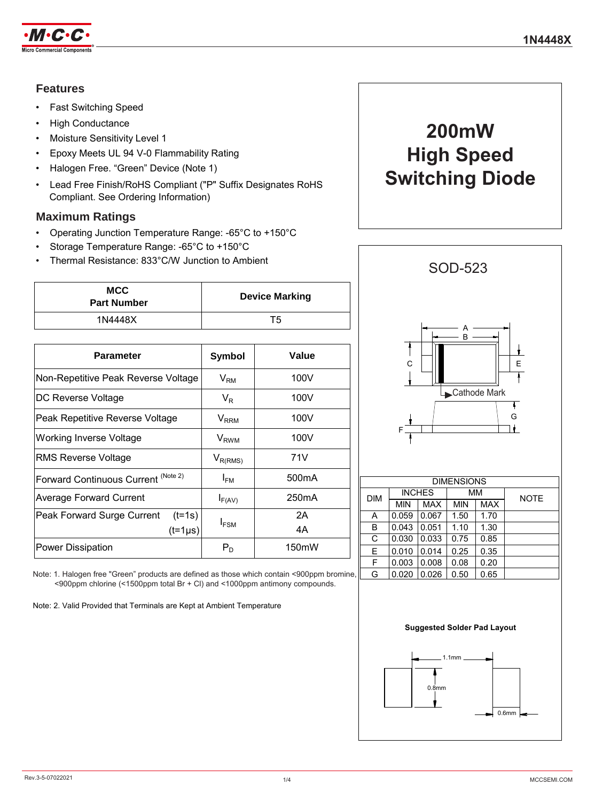

# **Features**

- Fast Switching Speed
- High Conductance
- Moisture Sensitivity Level 1
- Epoxy Meets UL 94 V-0 Flammability Rating
- Halogen Free. "Green" Device (Note 1)
- Lead Free Finish/RoHS Compliant ("P" Suffix Designates RoHS Compliant. See Ordering Information)

# **Maximum Ratings**

- Operating Junction Temperature Range: -65°C to +150°C
- Storage Temperature Range: -65°C to +150°C
- Thermal Resistance: 833°C/W Junction to Ambient

| <b>MCC</b><br><b>Part Number</b> | <b>Device Marking</b> |
|----------------------------------|-----------------------|
| 1N4448X                          | T5                    |

| <b>Parameter</b>                       | <b>Symbol</b>          | Value              |  |
|----------------------------------------|------------------------|--------------------|--|
| Non-Repetitive Peak Reverse Voltage    | $V_{\rm RM}$           | 100V               |  |
| DC Reverse Voltage                     | $V_{R}$                | 100V               |  |
| Peak Repetitive Reverse Voltage        | <b>V<sub>RRM</sub></b> | 100V               |  |
| Working Inverse Voltage                | $V_{RWM}$              | 100V               |  |
| RMS Reverse Voltage                    | $V_{R(RMS)}$           | 71V                |  |
| Forward Continuous Current (Note 2)    | $I_{FM}$               | 500 <sub>m</sub> A |  |
| <b>Average Forward Current</b>         | $I_{F(AV)}$            | 250 <sub>m</sub> A |  |
| $(t=1s)$<br>Peak Forward Surge Current |                        | 2Α                 |  |
| $(t=1\mu s)$                           | $I_{FSM}$              | 4A                 |  |
| <b>Power Dissipation</b>               | $P_D$                  | 150 <sub>m</sub> W |  |

Note: 1. Halogen free "Green" products are defined as those which contain <900ppm bromine, <900ppm chlorine (<1500ppm total Br + Cl) and <1000ppm antimony compounds.

Note: 2. Valid Provided that Terminals are Kept at Ambient Temperature

# **200mW High Speed Switching Diode**



| <b>DIMENSIONS</b> |               |            |            |            |             |  |
|-------------------|---------------|------------|------------|------------|-------------|--|
| <b>DIM</b>        | <b>INCHES</b> |            | мм         |            | <b>NOTE</b> |  |
|                   | <b>MIN</b>    | <b>MAX</b> | <b>MIN</b> | <b>MAX</b> |             |  |
| A                 | 0.059         | 0.067      | 1.50       | 1.70       |             |  |
| B                 | 0.043         | 0.051      | 1.10       | 1.30       |             |  |
| C                 | 0.030         | 0.033      | 0.75       | 0.85       |             |  |
| Е                 | 0.010         | 0.014      | 0.25       | 0.35       |             |  |
| F                 | 0.003         | 0.008      | 0.08       | 0.20       |             |  |
| G                 | 0.020         | 0.026      | 0.50       | 0.65       |             |  |

#### **Suggested Solder Pad Layout**

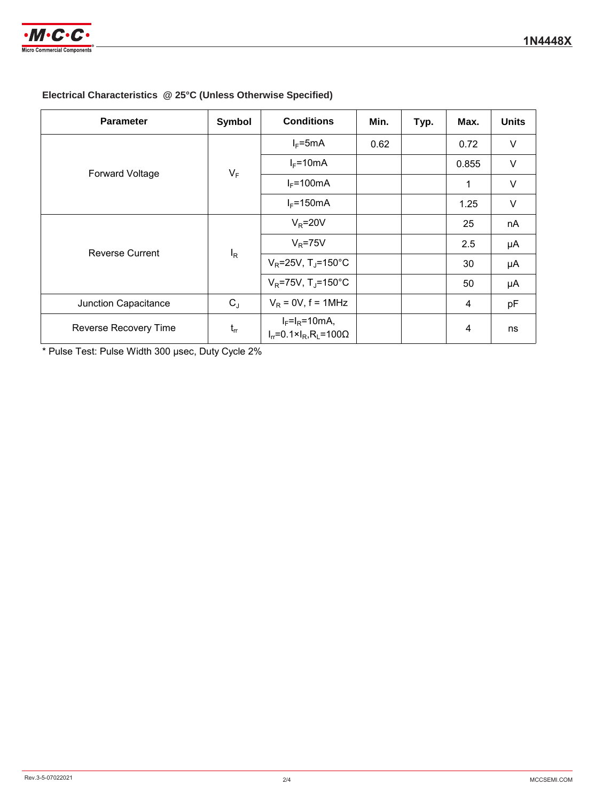

# **Electrical Characteristics @ 25°C (Unless Otherwise Specified)**

| <b>Parameter</b>       | Symbol   | <b>Conditions</b>                                                     | Min. | Typ. | Max.  | <b>Units</b> |
|------------------------|----------|-----------------------------------------------------------------------|------|------|-------|--------------|
| <b>Forward Voltage</b> | $V_F$    | $I_F = 5mA$                                                           | 0.62 |      | 0.72  | V            |
|                        |          | $I_F = 10mA$                                                          |      |      | 0.855 | $\vee$       |
|                        |          | $I_F = 100mA$                                                         |      |      | 1     | $\vee$       |
|                        |          | $I_F = 150mA$                                                         |      |      | 1.25  | V            |
| <b>Reverse Current</b> | $I_R$    | $V_R = 20V$                                                           |      |      | 25    | nA           |
|                        |          | $V_R$ =75V                                                            |      |      | 2.5   | μA           |
|                        |          | $V_R = 25V$ , T <sub>J</sub> =150°C                                   |      |      | 30    | μA           |
|                        |          | $V_R$ =75V, T <sub>J</sub> =150°C                                     |      |      | 50    | μA           |
| Junction Capacitance   | $C_{J}$  | $V_R$ = 0V, f = 1MHz                                                  |      |      | 4     | pF           |
| Reverse Recovery Time  | $t_{rr}$ | $I_F = I_R = 10mA$ ,<br>$I_r = 0.1 \times I_R$ , R <sub>L</sub> =100Ω |      |      | 4     | ns           |

\* Pulse Test: Pulse Width 300 μsec, Duty Cycle 2%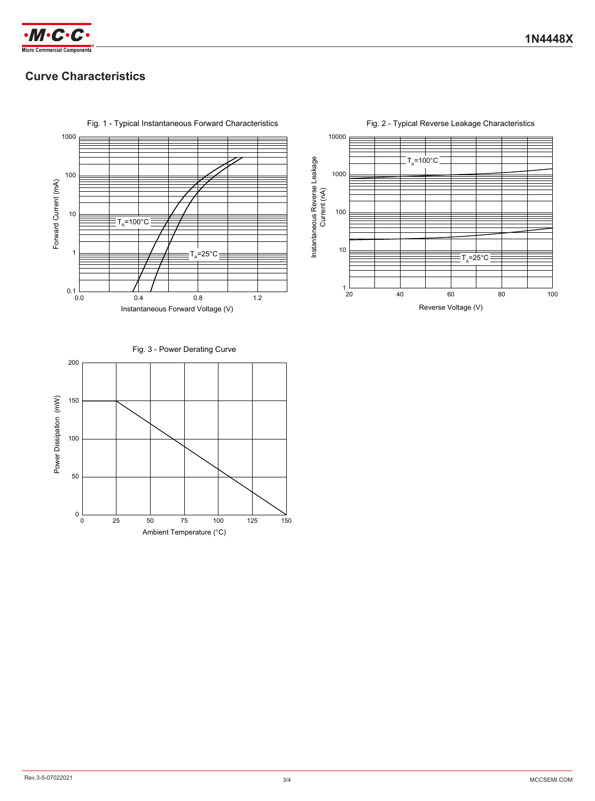

# **Curve Characteristics**



Fig. 1 - Typical Instantaneous Forward Characteristics





#### Fig. 3 - Power Derating Curve